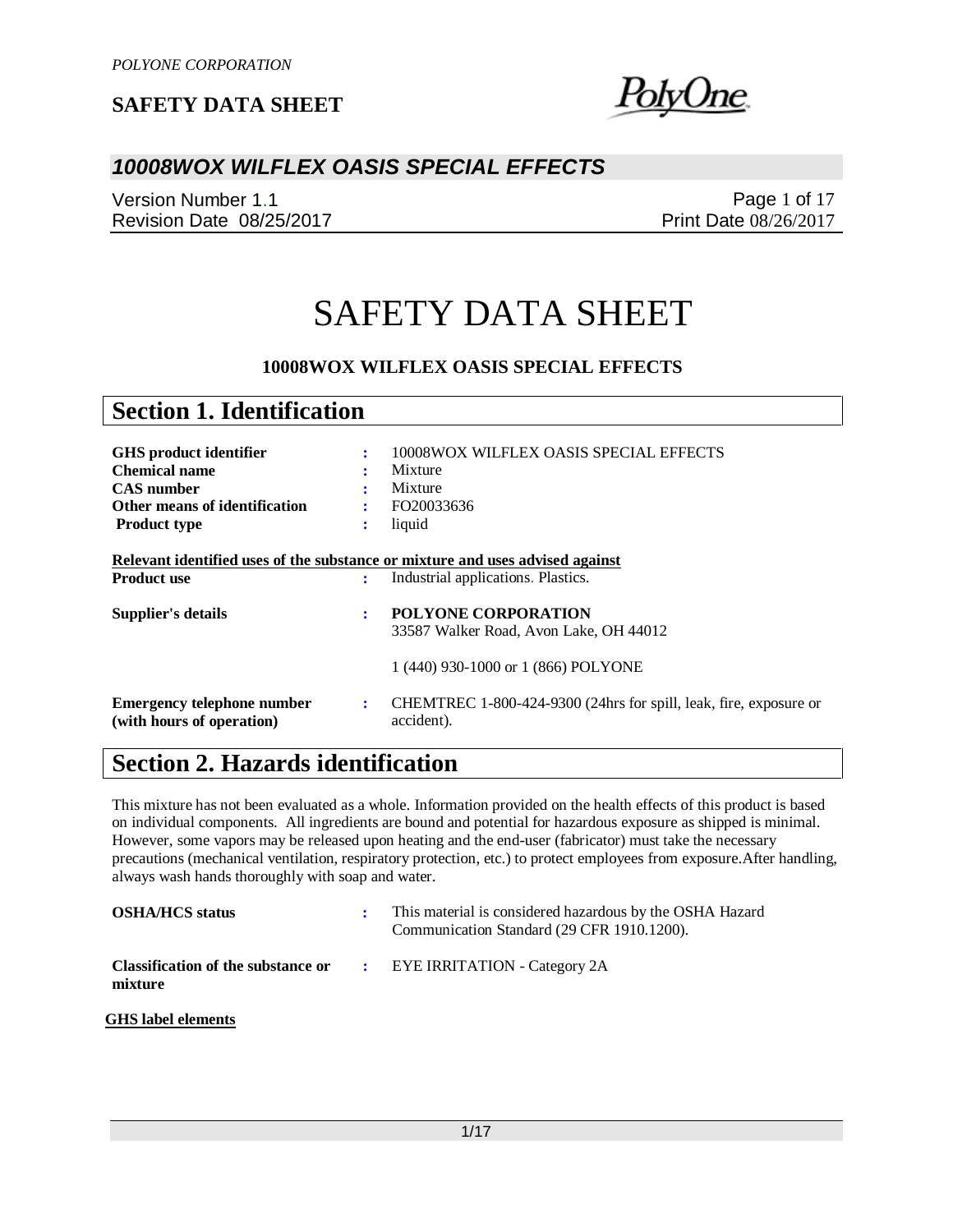olvUne.

### *10008WOX WILFLEX OASIS SPECIAL EFFECTS*

Version Number 1.1 Revision Date 08/25/2017

Page 1 of 17 Print Date 08/26/2017

# SAFETY DATA SHEET

### **10008WOX WILFLEX OASIS SPECIAL EFFECTS**

| <b>Section 1. Identification</b>                                                                                                   |             |                                                                                                             |
|------------------------------------------------------------------------------------------------------------------------------------|-------------|-------------------------------------------------------------------------------------------------------------|
| <b>GHS</b> product identifier<br><b>Chemical name</b><br><b>CAS</b> number<br>Other means of identification<br><b>Product type</b> | ÷<br>÷<br>÷ | 10008WOX WILFLEX OASIS SPECIAL EFFECTS<br>Mixture<br>Mixture<br>FO20033636<br>liquid                        |
| Relevant identified uses of the substance or mixture and uses advised against<br><b>Product use</b>                                | ÷           | Industrial applications. Plastics.                                                                          |
| Supplier's details                                                                                                                 | ÷           | <b>POLYONE CORPORATION</b><br>33587 Walker Road, Avon Lake, OH 44012<br>1 (440) 930-1000 or 1 (866) POLYONE |
| <b>Emergency telephone number</b><br>(with hours of operation)                                                                     | ÷           | CHEMTREC 1-800-424-9300 (24hrs for spill, leak, fire, exposure or<br>accident).                             |

## **Section 2. Hazards identification**

This mixture has not been evaluated as a whole. Information provided on the health effects of this product is based on individual components. All ingredients are bound and potential for hazardous exposure as shipped is minimal. However, some vapors may be released upon heating and the end-user (fabricator) must take the necessary precautions (mechanical ventilation, respiratory protection, etc.) to protect employees from exposure.After handling, always wash hands thoroughly with soap and water.

| <b>OSHA/HCS</b> status                                                             | This material is considered hazardous by the OSHA Hazard<br>Communication Standard (29 CFR 1910.1200). |
|------------------------------------------------------------------------------------|--------------------------------------------------------------------------------------------------------|
| <b>Classification of the substance or FIVE IRRITATION - Category 2A</b><br>mixture |                                                                                                        |
| GHS label elements                                                                 |                                                                                                        |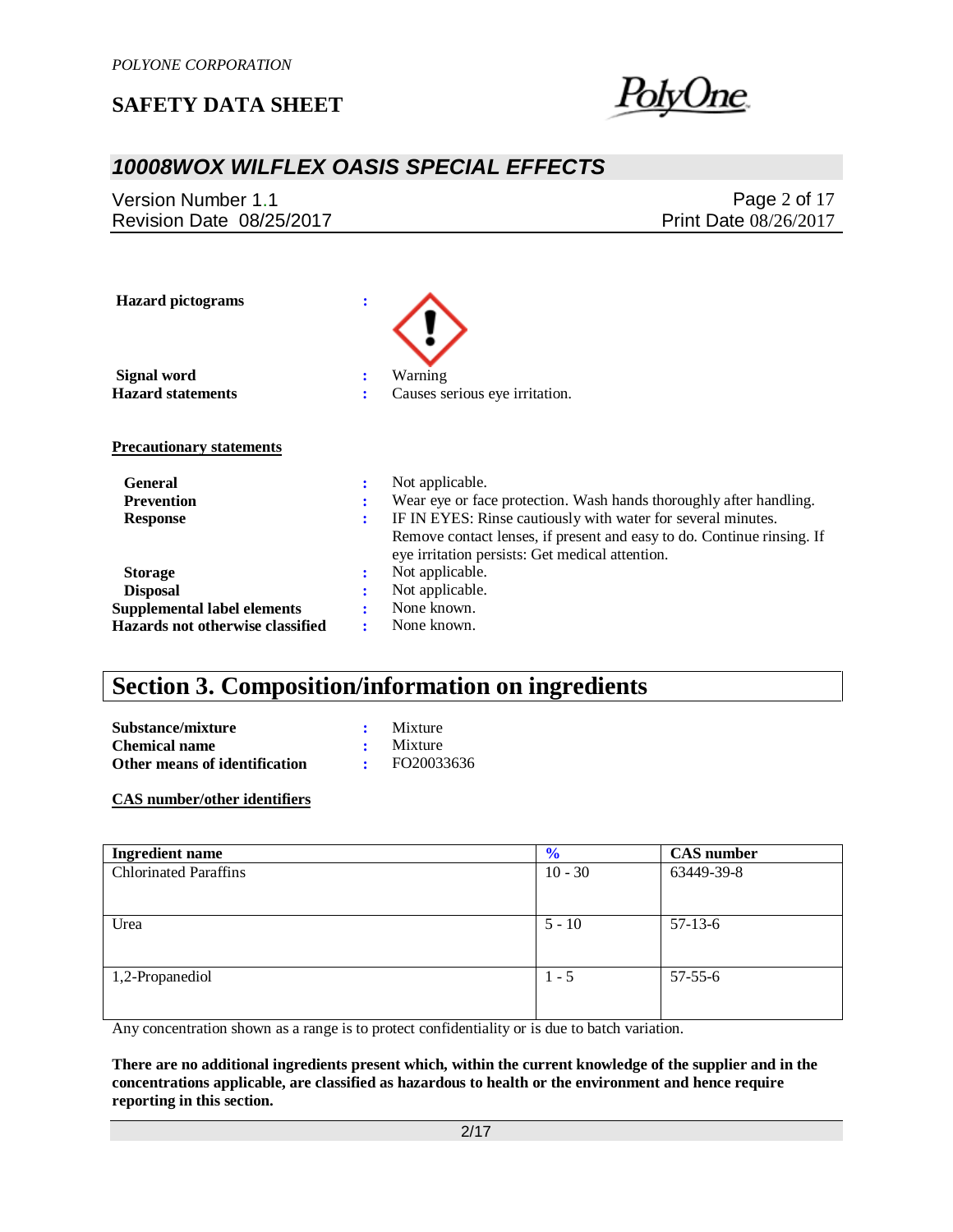

## *10008WOX WILFLEX OASIS SPECIAL EFFECTS*

Version Number 1.1 Revision Date 08/25/2017

Page 2 of 17 Print Date 08/26/2017

| <b>Hazard</b> pictograms           | ÷      |                                                                                                                           |
|------------------------------------|--------|---------------------------------------------------------------------------------------------------------------------------|
| Signal word                        | ÷      | Warning                                                                                                                   |
| <b>Hazard statements</b>           | ÷      | Causes serious eye irritation.                                                                                            |
| <b>Precautionary statements</b>    |        |                                                                                                                           |
| General                            | ٠<br>٠ | Not applicable.                                                                                                           |
| <b>Prevention</b>                  | ÷      | Wear eye or face protection. Wash hands thoroughly after handling.                                                        |
| <b>Response</b>                    | ÷      | IF IN EYES: Rinse cautiously with water for several minutes.                                                              |
|                                    |        | Remove contact lenses, if present and easy to do. Continue rinsing. If<br>eye irritation persists: Get medical attention. |
| <b>Storage</b>                     | ÷      | Not applicable.                                                                                                           |
| <b>Disposal</b>                    | ٠      | Not applicable.                                                                                                           |
| <b>Supplemental label elements</b> |        | None known.                                                                                                               |
| Hazards not otherwise classified   |        | None known.                                                                                                               |

## **Section 3. Composition/information on ingredients**

**Substance/mixture :** Mixture **Chemical name :** Mixture **Other means of identification :** FO20033636

**CAS number/other identifiers**

| <b>Ingredient name</b>       | $\frac{6}{9}$ | <b>CAS</b> number |
|------------------------------|---------------|-------------------|
| <b>Chlorinated Paraffins</b> | $10 - 30$     | 63449-39-8        |
|                              |               |                   |
|                              |               |                   |
| Urea                         | $5 - 10$      | $57-13-6$         |
|                              |               |                   |
|                              |               |                   |
| 1,2-Propanediol              | $1 - 5$       | $57 - 55 - 6$     |
|                              |               |                   |
|                              |               |                   |

Any concentration shown as a range is to protect confidentiality or is due to batch variation.

**There are no additional ingredients present which, within the current knowledge of the supplier and in the concentrations applicable, are classified as hazardous to health or the environment and hence require reporting in this section.**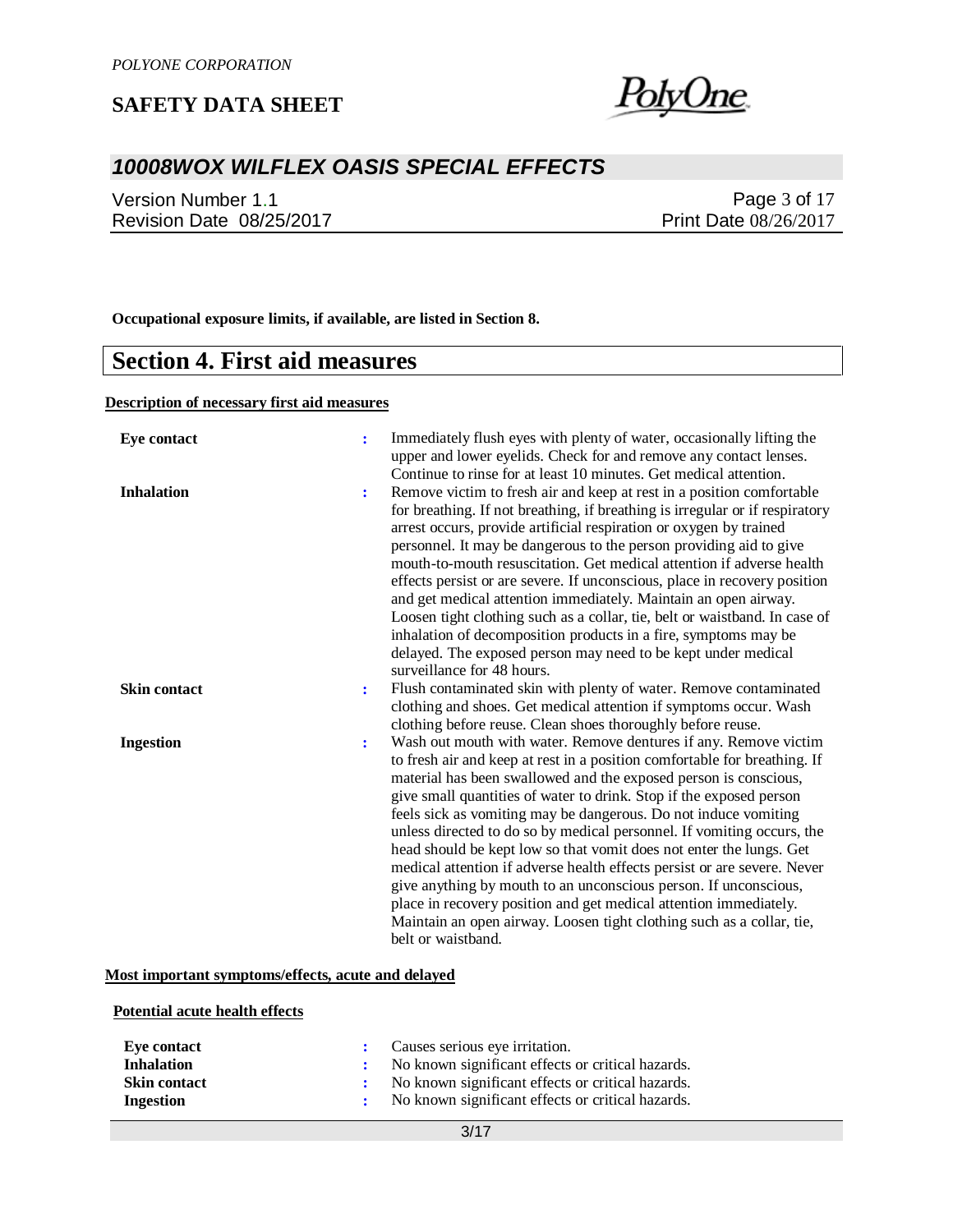<u>PolyOne</u>

## *10008WOX WILFLEX OASIS SPECIAL EFFECTS*

Version Number 1.1 Revision Date 08/25/2017

Page 3 of 17 Print Date 08/26/2017

**Occupational exposure limits, if available, are listed in Section 8.**

### **Section 4. First aid measures**

### **Description of necessary first aid measures**

| <b>Eye contact</b>  | ÷ | Immediately flush eyes with plenty of water, occasionally lifting the<br>upper and lower eyelids. Check for and remove any contact lenses.<br>Continue to rinse for at least 10 minutes. Get medical attention.                                                                                                                                                                                                                                                                                                                                                                                                                                                                                                                                                                                                                                                                                 |
|---------------------|---|-------------------------------------------------------------------------------------------------------------------------------------------------------------------------------------------------------------------------------------------------------------------------------------------------------------------------------------------------------------------------------------------------------------------------------------------------------------------------------------------------------------------------------------------------------------------------------------------------------------------------------------------------------------------------------------------------------------------------------------------------------------------------------------------------------------------------------------------------------------------------------------------------|
| <b>Inhalation</b>   | ÷ | Remove victim to fresh air and keep at rest in a position comfortable<br>for breathing. If not breathing, if breathing is irregular or if respiratory<br>arrest occurs, provide artificial respiration or oxygen by trained<br>personnel. It may be dangerous to the person providing aid to give<br>mouth-to-mouth resuscitation. Get medical attention if adverse health<br>effects persist or are severe. If unconscious, place in recovery position<br>and get medical attention immediately. Maintain an open airway.<br>Loosen tight clothing such as a collar, tie, belt or waistband. In case of<br>inhalation of decomposition products in a fire, symptoms may be<br>delayed. The exposed person may need to be kept under medical                                                                                                                                                    |
| <b>Skin contact</b> | ÷ | surveillance for 48 hours.<br>Flush contaminated skin with plenty of water. Remove contaminated<br>clothing and shoes. Get medical attention if symptoms occur. Wash                                                                                                                                                                                                                                                                                                                                                                                                                                                                                                                                                                                                                                                                                                                            |
| <b>Ingestion</b>    | ÷ | clothing before reuse. Clean shoes thoroughly before reuse.<br>Wash out mouth with water. Remove dentures if any. Remove victim<br>to fresh air and keep at rest in a position comfortable for breathing. If<br>material has been swallowed and the exposed person is conscious,<br>give small quantities of water to drink. Stop if the exposed person<br>feels sick as vomiting may be dangerous. Do not induce vomiting<br>unless directed to do so by medical personnel. If vomiting occurs, the<br>head should be kept low so that vomit does not enter the lungs. Get<br>medical attention if adverse health effects persist or are severe. Never<br>give anything by mouth to an unconscious person. If unconscious,<br>place in recovery position and get medical attention immediately.<br>Maintain an open airway. Loosen tight clothing such as a collar, tie,<br>belt or waistband. |

### **Most important symptoms/effects, acute and delayed**

#### **Potential acute health effects**

| Eve contact         | : Causes serious eye irritation.                    |
|---------------------|-----------------------------------------------------|
| <b>Inhalation</b>   | No known significant effects or critical hazards.   |
| <b>Skin contact</b> | : No known significant effects or critical hazards. |
| Ingestion           | : No known significant effects or critical hazards. |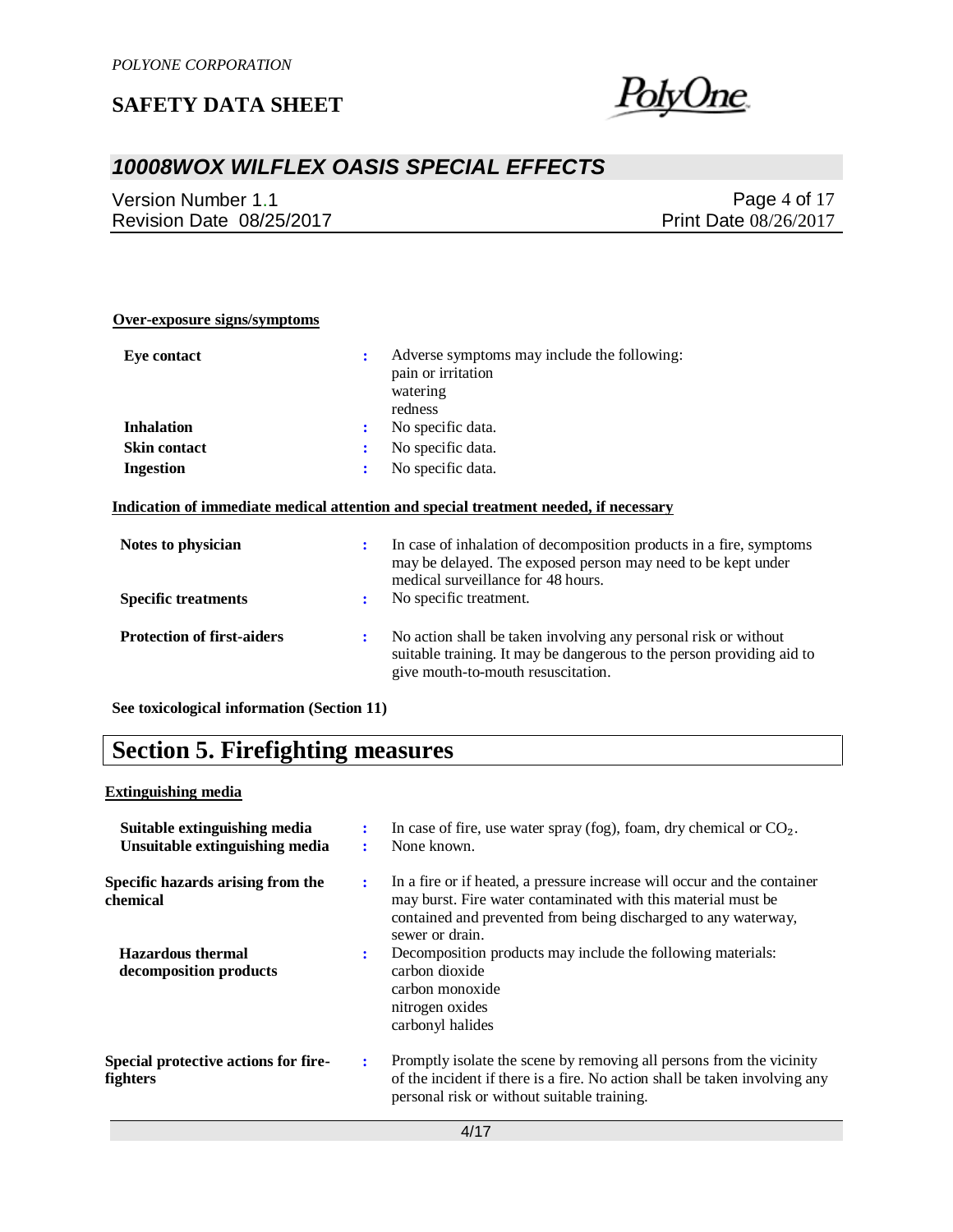

## *10008WOX WILFLEX OASIS SPECIAL EFFECTS*

Version Number 1.1 Revision Date 08/25/2017

Page 4 of 17 Print Date 08/26/2017

| Over-exposure signs/symptoms               |    |                                                                                                                                                                                |
|--------------------------------------------|----|--------------------------------------------------------------------------------------------------------------------------------------------------------------------------------|
| <b>Eye contact</b>                         | ÷  | Adverse symptoms may include the following:<br>pain or irritation<br>watering<br>redness                                                                                       |
| <b>Inhalation</b>                          |    | No specific data.                                                                                                                                                              |
| <b>Skin contact</b>                        | ÷  | No specific data.                                                                                                                                                              |
| <b>Ingestion</b>                           |    | No specific data.                                                                                                                                                              |
|                                            |    | Indication of immediate medical attention and special treatment needed, if necessary                                                                                           |
| Notes to physician                         |    | In case of inhalation of decomposition products in a fire, symptoms<br>may be delayed. The exposed person may need to be kept under<br>medical surveillance for 48 hours.      |
| <b>Specific treatments</b>                 |    | No specific treatment.                                                                                                                                                         |
| <b>Protection of first-aiders</b>          | ٠. | No action shall be taken involving any personal risk or without<br>suitable training. It may be dangerous to the person providing aid to<br>give mouth-to-mouth resuscitation. |
| See toxicological information (Section 11) |    |                                                                                                                                                                                |

# **Section 5. Firefighting measures**

### **Extinguishing media**

| Suitable extinguishing media<br>Unsuitable extinguishing media | ÷ | In case of fire, use water spray (fog), foam, dry chemical or $CO2$ .<br>None known.                                                                                                                                           |
|----------------------------------------------------------------|---|--------------------------------------------------------------------------------------------------------------------------------------------------------------------------------------------------------------------------------|
| Specific hazards arising from the<br>chemical                  | ÷ | In a fire or if heated, a pressure increase will occur and the container<br>may burst. Fire water contaminated with this material must be<br>contained and prevented from being discharged to any waterway,<br>sewer or drain. |
| <b>Hazardous thermal</b><br>decomposition products             | ÷ | Decomposition products may include the following materials:<br>carbon dioxide<br>carbon monoxide<br>nitrogen oxides<br>carbonyl halides                                                                                        |
| Special protective actions for fire-<br>fighters               | ÷ | Promptly isolate the scene by removing all persons from the vicinity<br>of the incident if there is a fire. No action shall be taken involving any<br>personal risk or without suitable training.                              |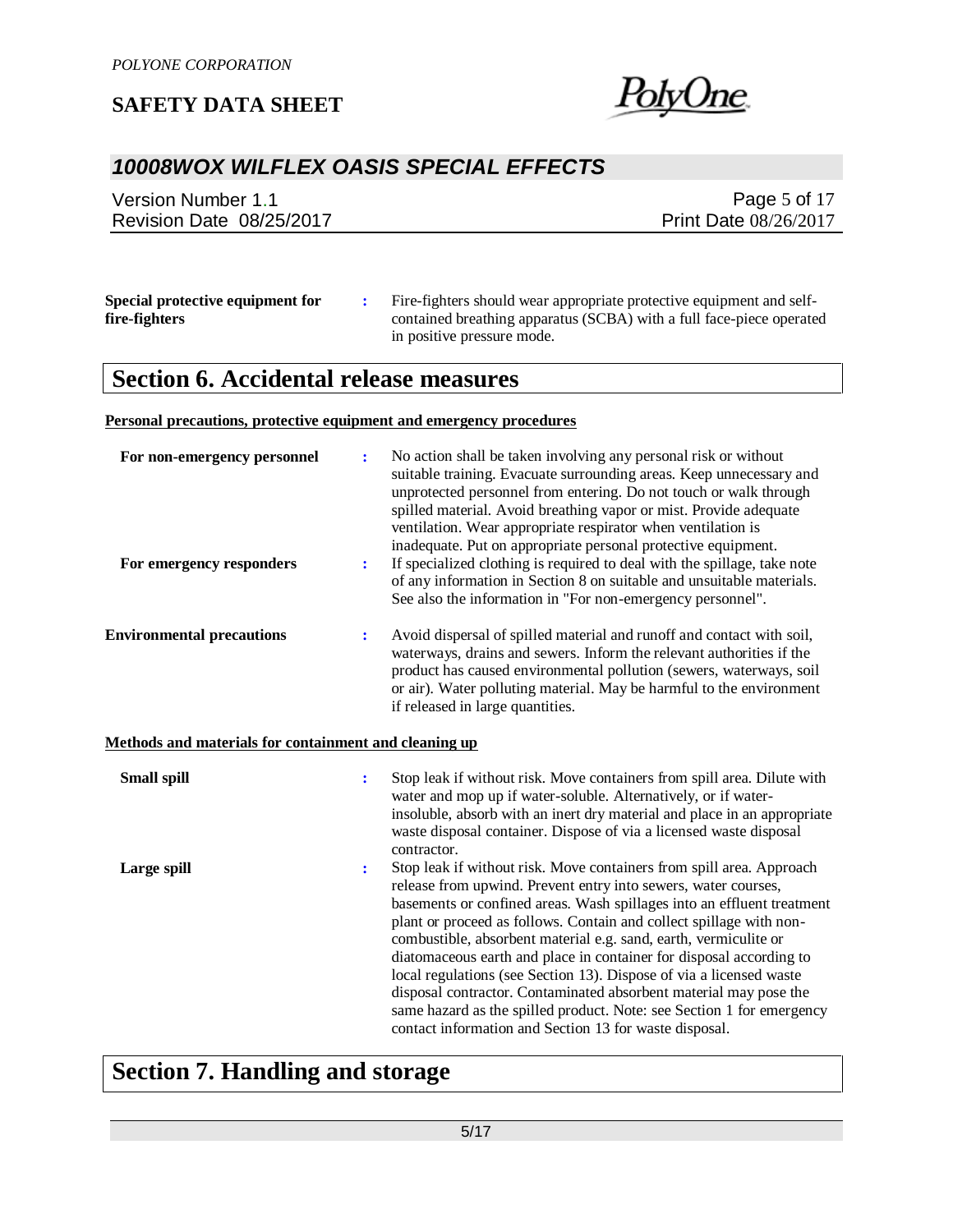

## *10008WOX WILFLEX OASIS SPECIAL EFFECTS*

Version Number 1.1 Revision Date 08/25/2017

Page 5 of 17 Print Date 08/26/2017

| Special protective equipment for | Fire-fighters should wear appropriate protective equipment and self- |
|----------------------------------|----------------------------------------------------------------------|
| fire-fighters                    | contained breathing apparatus (SCBA) with a full face-piece operated |
|                                  | in positive pressure mode.                                           |

# **Section 6. Accidental release measures**

#### **Personal precautions, protective equipment and emergency procedures**

| For non-emergency personnel<br>For emergency responders      | $\ddot{\cdot}$<br>$\ddot{\cdot}$ | No action shall be taken involving any personal risk or without<br>suitable training. Evacuate surrounding areas. Keep unnecessary and<br>unprotected personnel from entering. Do not touch or walk through<br>spilled material. Avoid breathing vapor or mist. Provide adequate<br>ventilation. Wear appropriate respirator when ventilation is<br>inadequate. Put on appropriate personal protective equipment.<br>If specialized clothing is required to deal with the spillage, take note<br>of any information in Section 8 on suitable and unsuitable materials.                                                                                                                                            |
|--------------------------------------------------------------|----------------------------------|-------------------------------------------------------------------------------------------------------------------------------------------------------------------------------------------------------------------------------------------------------------------------------------------------------------------------------------------------------------------------------------------------------------------------------------------------------------------------------------------------------------------------------------------------------------------------------------------------------------------------------------------------------------------------------------------------------------------|
|                                                              |                                  | See also the information in "For non-emergency personnel".                                                                                                                                                                                                                                                                                                                                                                                                                                                                                                                                                                                                                                                        |
| <b>Environmental precautions</b>                             | ÷                                | Avoid dispersal of spilled material and runoff and contact with soil,<br>waterways, drains and sewers. Inform the relevant authorities if the<br>product has caused environmental pollution (sewers, waterways, soil<br>or air). Water polluting material. May be harmful to the environment<br>if released in large quantities.                                                                                                                                                                                                                                                                                                                                                                                  |
| <b>Methods and materials for containment and cleaning up</b> |                                  |                                                                                                                                                                                                                                                                                                                                                                                                                                                                                                                                                                                                                                                                                                                   |
| <b>Small spill</b>                                           | $\ddot{\phantom{a}}$             | Stop leak if without risk. Move containers from spill area. Dilute with<br>water and mop up if water-soluble. Alternatively, or if water-<br>insoluble, absorb with an inert dry material and place in an appropriate<br>waste disposal container. Dispose of via a licensed waste disposal<br>contractor.                                                                                                                                                                                                                                                                                                                                                                                                        |
| Large spill                                                  | ፡                                | Stop leak if without risk. Move containers from spill area. Approach<br>release from upwind. Prevent entry into sewers, water courses,<br>basements or confined areas. Wash spillages into an effluent treatment<br>plant or proceed as follows. Contain and collect spillage with non-<br>combustible, absorbent material e.g. sand, earth, vermiculite or<br>diatomaceous earth and place in container for disposal according to<br>local regulations (see Section 13). Dispose of via a licensed waste<br>disposal contractor. Contaminated absorbent material may pose the<br>same hazard as the spilled product. Note: see Section 1 for emergency<br>contact information and Section 13 for waste disposal. |

# **Section 7. Handling and storage**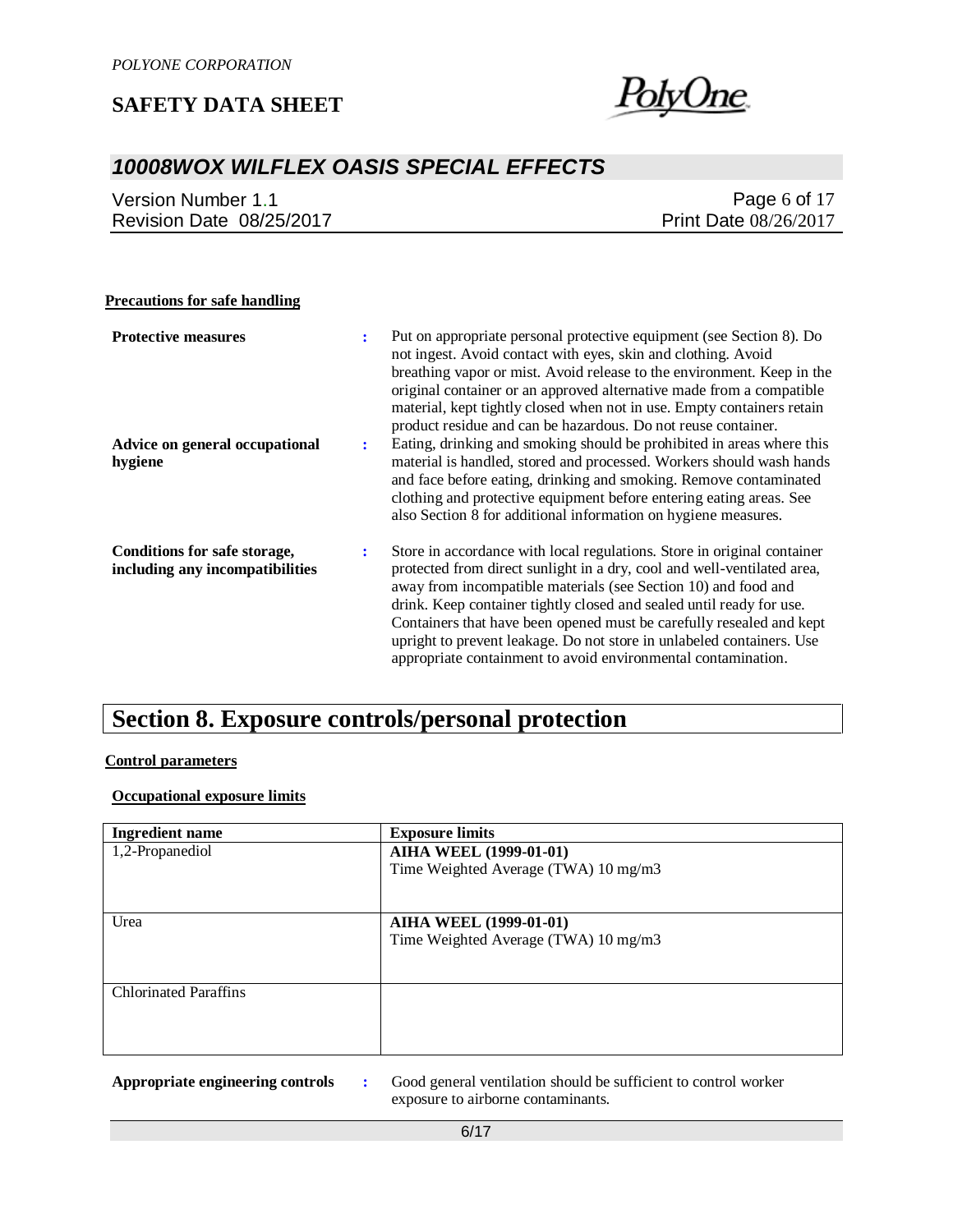

## *10008WOX WILFLEX OASIS SPECIAL EFFECTS*

| Version Number 1.1       | Page 6 of 17                 |
|--------------------------|------------------------------|
| Revision Date 08/25/2017 | <b>Print Date 08/26/2017</b> |

### **Precautions for safe handling**

| <b>Protective measures</b>                                      | ٠. | Put on appropriate personal protective equipment (see Section 8). Do<br>not ingest. Avoid contact with eyes, skin and clothing. Avoid<br>breathing vapor or mist. Avoid release to the environment. Keep in the<br>original container or an approved alternative made from a compatible<br>material, kept tightly closed when not in use. Empty containers retain<br>product residue and can be hazardous. Do not reuse container.                                                                             |
|-----------------------------------------------------------------|----|----------------------------------------------------------------------------------------------------------------------------------------------------------------------------------------------------------------------------------------------------------------------------------------------------------------------------------------------------------------------------------------------------------------------------------------------------------------------------------------------------------------|
| Advice on general occupational<br>hygiene                       | ÷  | Eating, drinking and smoking should be prohibited in areas where this<br>material is handled, stored and processed. Workers should wash hands<br>and face before eating, drinking and smoking. Remove contaminated<br>clothing and protective equipment before entering eating areas. See<br>also Section 8 for additional information on hygiene measures.                                                                                                                                                    |
| Conditions for safe storage,<br>including any incompatibilities | :  | Store in accordance with local regulations. Store in original container<br>protected from direct sunlight in a dry, cool and well-ventilated area,<br>away from incompatible materials (see Section 10) and food and<br>drink. Keep container tightly closed and sealed until ready for use.<br>Containers that have been opened must be carefully resealed and kept<br>upright to prevent leakage. Do not store in unlabeled containers. Use<br>appropriate containment to avoid environmental contamination. |

# **Section 8. Exposure controls/personal protection**

#### **Control parameters**

### **Occupational exposure limits**

| <b>Ingredient name</b>       | <b>Exposure limits</b>               |
|------------------------------|--------------------------------------|
| 1,2-Propanediol              | <b>AIHA WEEL (1999-01-01)</b>        |
|                              | Time Weighted Average (TWA) 10 mg/m3 |
|                              |                                      |
|                              |                                      |
| Urea                         | <b>AIHA WEEL (1999-01-01)</b>        |
|                              | Time Weighted Average (TWA) 10 mg/m3 |
|                              |                                      |
| <b>Chlorinated Paraffins</b> |                                      |
|                              |                                      |
|                              |                                      |
|                              |                                      |

**Appropriate engineering controls :** Good general ventilation should be sufficient to control worker exposure to airborne contaminants.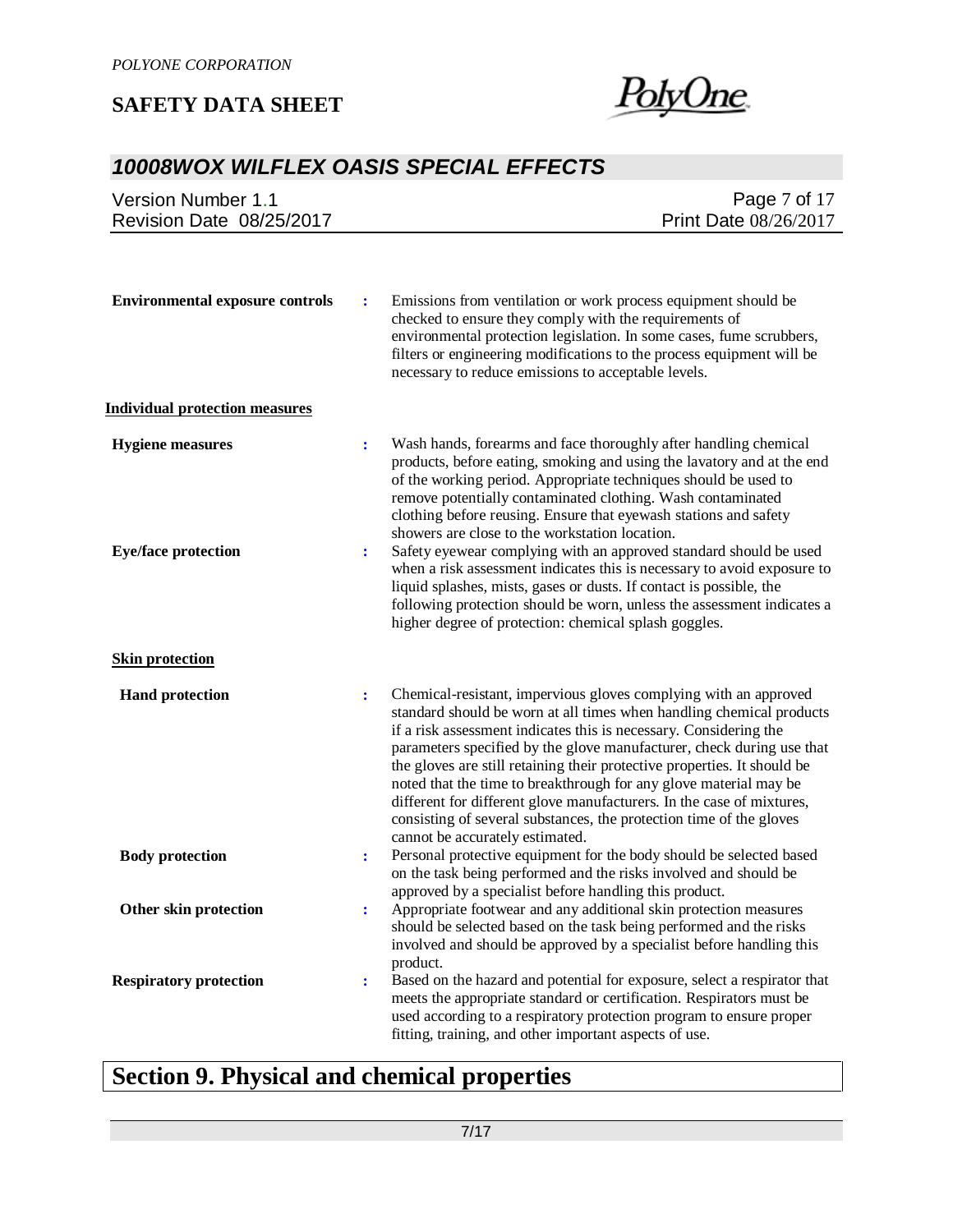

## *10008WOX WILFLEX OASIS SPECIAL EFFECTS*

| <b>Version Number 1.1</b>              | Page 7 of 17                                                                                                                                                                                                                                                                                                                                                                                                                                                                                                                                                                                                                                 |
|----------------------------------------|----------------------------------------------------------------------------------------------------------------------------------------------------------------------------------------------------------------------------------------------------------------------------------------------------------------------------------------------------------------------------------------------------------------------------------------------------------------------------------------------------------------------------------------------------------------------------------------------------------------------------------------------|
| Revision Date 08/25/2017               | Print Date 08/26/2017                                                                                                                                                                                                                                                                                                                                                                                                                                                                                                                                                                                                                        |
|                                        |                                                                                                                                                                                                                                                                                                                                                                                                                                                                                                                                                                                                                                              |
| <b>Environmental exposure controls</b> | Emissions from ventilation or work process equipment should be<br>$\ddot{\cdot}$<br>checked to ensure they comply with the requirements of<br>environmental protection legislation. In some cases, fume scrubbers,<br>filters or engineering modifications to the process equipment will be<br>necessary to reduce emissions to acceptable levels.                                                                                                                                                                                                                                                                                           |
| <b>Individual protection measures</b>  |                                                                                                                                                                                                                                                                                                                                                                                                                                                                                                                                                                                                                                              |
| <b>Hygiene</b> measures                | Wash hands, forearms and face thoroughly after handling chemical<br>$\ddot{\cdot}$<br>products, before eating, smoking and using the lavatory and at the end<br>of the working period. Appropriate techniques should be used to<br>remove potentially contaminated clothing. Wash contaminated<br>clothing before reusing. Ensure that eyewash stations and safety<br>showers are close to the workstation location.                                                                                                                                                                                                                         |
| <b>Eye/face protection</b>             | Safety eyewear complying with an approved standard should be used<br>$\ddot{\cdot}$<br>when a risk assessment indicates this is necessary to avoid exposure to<br>liquid splashes, mists, gases or dusts. If contact is possible, the<br>following protection should be worn, unless the assessment indicates a<br>higher degree of protection: chemical splash goggles.                                                                                                                                                                                                                                                                     |
| <b>Skin protection</b>                 |                                                                                                                                                                                                                                                                                                                                                                                                                                                                                                                                                                                                                                              |
| <b>Hand protection</b>                 | Chemical-resistant, impervious gloves complying with an approved<br>$\ddot{\cdot}$<br>standard should be worn at all times when handling chemical products<br>if a risk assessment indicates this is necessary. Considering the<br>parameters specified by the glove manufacturer, check during use that<br>the gloves are still retaining their protective properties. It should be<br>noted that the time to breakthrough for any glove material may be<br>different for different glove manufacturers. In the case of mixtures,<br>consisting of several substances, the protection time of the gloves<br>cannot be accurately estimated. |
| <b>Body protection</b>                 | Personal protective equipment for the body should be selected based<br>$\ddot{\cdot}$<br>on the task being performed and the risks involved and should be                                                                                                                                                                                                                                                                                                                                                                                                                                                                                    |
| Other skin protection                  | approved by a specialist before handling this product.<br>Appropriate footwear and any additional skin protection measures<br>$\ddot{\cdot}$<br>should be selected based on the task being performed and the risks<br>involved and should be approved by a specialist before handling this<br>product.                                                                                                                                                                                                                                                                                                                                       |
| <b>Respiratory protection</b>          | Based on the hazard and potential for exposure, select a respirator that<br>$\ddot{\cdot}$<br>meets the appropriate standard or certification. Respirators must be<br>used according to a respiratory protection program to ensure proper<br>fitting, training, and other important aspects of use.                                                                                                                                                                                                                                                                                                                                          |

# **Section 9. Physical and chemical properties**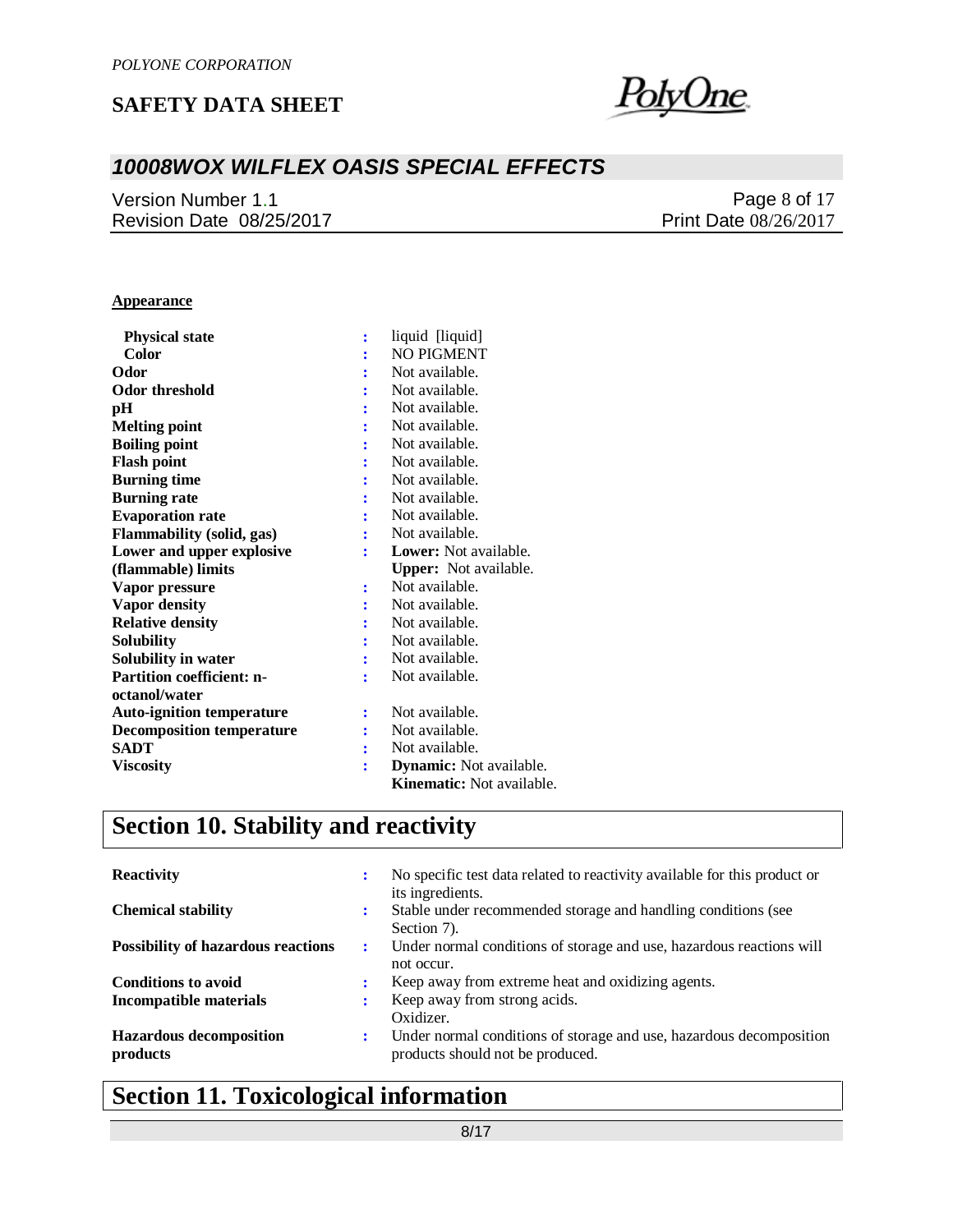

## *10008WOX WILFLEX OASIS SPECIAL EFFECTS*

Version Number 1.1 Revision Date 08/25/2017

Page 8 of 17 Print Date 08/26/2017

#### **Appearance**

| <b>Physical state</b>            |   | liquid [liquid]                |
|----------------------------------|---|--------------------------------|
| <b>Color</b>                     |   | <b>NO PIGMENT</b>              |
| Odor                             |   | Not available.                 |
| <b>Odor threshold</b>            |   | Not available.                 |
| pН                               |   | Not available.                 |
| <b>Melting point</b>             |   | Not available.                 |
| <b>Boiling point</b>             |   | Not available.                 |
| <b>Flash point</b>               | ÷ | Not available.                 |
| <b>Burning time</b>              |   | Not available.                 |
| <b>Burning rate</b>              |   | Not available.                 |
| <b>Evaporation rate</b>          |   | Not available.                 |
| <b>Flammability (solid, gas)</b> |   | Not available.                 |
| Lower and upper explosive        |   | <b>Lower:</b> Not available.   |
|                                  |   |                                |
| (flammable) limits               |   | <b>Upper:</b> Not available.   |
| Vapor pressure                   | ÷ | Not available.                 |
| Vapor density                    |   | Not available.                 |
| <b>Relative density</b>          |   | Not available.                 |
| <b>Solubility</b>                |   | Not available.                 |
| Solubility in water              |   | Not available.                 |
| <b>Partition coefficient: n-</b> | ÷ | Not available.                 |
| octanol/water                    |   |                                |
| <b>Auto-ignition temperature</b> | ÷ | Not available.                 |
| <b>Decomposition temperature</b> |   | Not available.                 |
| <b>SADT</b>                      |   | Not available.                 |
| <b>Viscosity</b>                 | ÷ | <b>Dynamic:</b> Not available. |

# **Section 10. Stability and reactivity**

| <b>Reactivity</b>                          | ٠ | No specific test data related to reactivity available for this product or<br>its ingredients.           |
|--------------------------------------------|---|---------------------------------------------------------------------------------------------------------|
| <b>Chemical stability</b>                  | ٠ | Stable under recommended storage and handling conditions (see<br>Section 7).                            |
| <b>Possibility of hazardous reactions</b>  | : | Under normal conditions of storage and use, hazardous reactions will<br>not occur.                      |
| <b>Conditions to avoid</b>                 |   | Keep away from extreme heat and oxidizing agents.                                                       |
| Incompatible materials                     |   | Keep away from strong acids.<br>Oxidizer.                                                               |
| <b>Hazardous decomposition</b><br>products | ÷ | Under normal conditions of storage and use, hazardous decomposition<br>products should not be produced. |

# **Section 11. Toxicological information**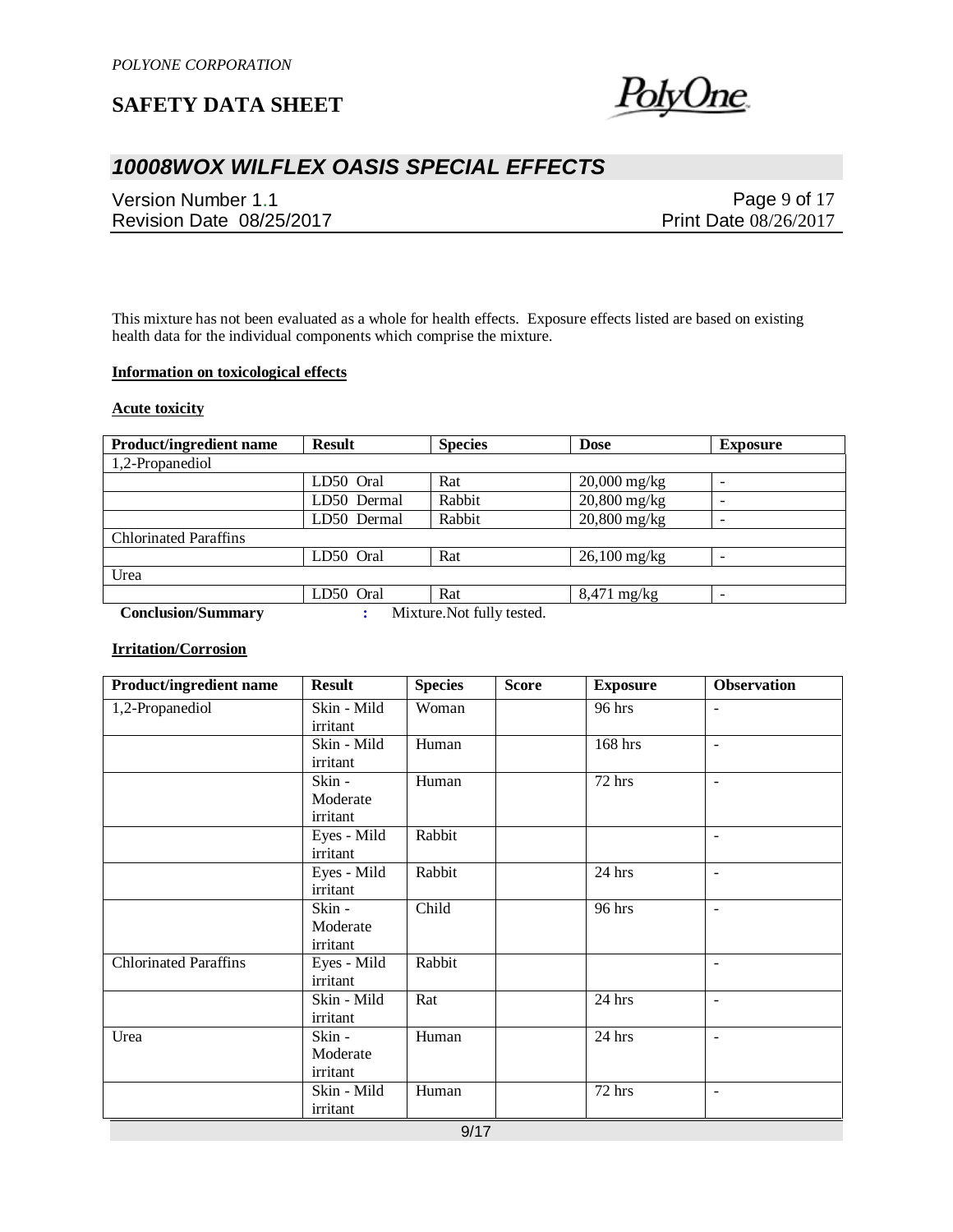

## *10008WOX WILFLEX OASIS SPECIAL EFFECTS*

Version Number 1.1 Revision Date 08/25/2017

Page 9 of 17 Print Date 08/26/2017

This mixture has not been evaluated as a whole for health effects. Exposure effects listed are based on existing health data for the individual components which comprise the mixture.

#### **Information on toxicological effects**

#### **Acute toxicity**

| <b>Product/ingredient name</b> | <b>Result</b> | <b>Species</b>             | <b>Dose</b>               | <b>Exposure</b>          |
|--------------------------------|---------------|----------------------------|---------------------------|--------------------------|
| 1,2-Propanediol                |               |                            |                           |                          |
|                                | LD50 Oral     | Rat                        | $20,000$ mg/kg            | $\overline{\phantom{0}}$ |
|                                | LD50 Dermal   | Rabbit                     | $20,800$ mg/kg            | ۰                        |
|                                | LD50 Dermal   | Rabbit                     | $20,800$ mg/kg            | -                        |
| <b>Chlorinated Paraffins</b>   |               |                            |                           |                          |
|                                | LD50 Oral     | Rat                        | $26,100 \,\mathrm{mg/kg}$ |                          |
| Urea                           |               |                            |                           |                          |
|                                | LD50 Oral     | Rat                        | $8,471 \text{ mg/kg}$     |                          |
| <b>Conclusion/Summary</b>      |               | Mixture. Not fully tested. |                           |                          |

### **Irritation/Corrosion**

| <b>Product/ingredient name</b> | <b>Result</b> | <b>Species</b> | <b>Score</b> | <b>Exposure</b> | <b>Observation</b>       |
|--------------------------------|---------------|----------------|--------------|-----------------|--------------------------|
| 1,2-Propanediol                | Skin - Mild   | Woman          |              | 96 hrs          | $\blacksquare$           |
|                                | irritant      |                |              |                 |                          |
|                                | Skin - Mild   | Human          |              | 168 hrs         | $\blacksquare$           |
|                                | irritant      |                |              |                 |                          |
|                                | Skin -        | Human          |              | 72 hrs          | $\sim$                   |
|                                | Moderate      |                |              |                 |                          |
|                                | irritant      |                |              |                 |                          |
|                                | Eyes - Mild   | Rabbit         |              |                 | $\overline{\phantom{a}}$ |
|                                | irritant      |                |              |                 |                          |
|                                | Eyes - Mild   | Rabbit         |              | $24$ hrs        | $\blacksquare$           |
|                                | irritant      |                |              |                 |                          |
|                                | Skin -        | Child          |              | 96 hrs          | $\blacksquare$           |
|                                | Moderate      |                |              |                 |                          |
|                                | irritant      |                |              |                 |                          |
| <b>Chlorinated Paraffins</b>   | Eyes - Mild   | Rabbit         |              |                 | $\overline{\phantom{a}}$ |
|                                | irritant      |                |              |                 |                          |
|                                | Skin - Mild   | Rat            |              | 24 hrs          | $\blacksquare$           |
|                                | irritant      |                |              |                 |                          |
| Urea                           | Skin -        | Human          |              | 24 hrs          | $\overline{\phantom{a}}$ |
|                                | Moderate      |                |              |                 |                          |
|                                | irritant      |                |              |                 |                          |
|                                | Skin - Mild   | Human          |              | 72 hrs          | $\blacksquare$           |
|                                | irritant      |                |              |                 |                          |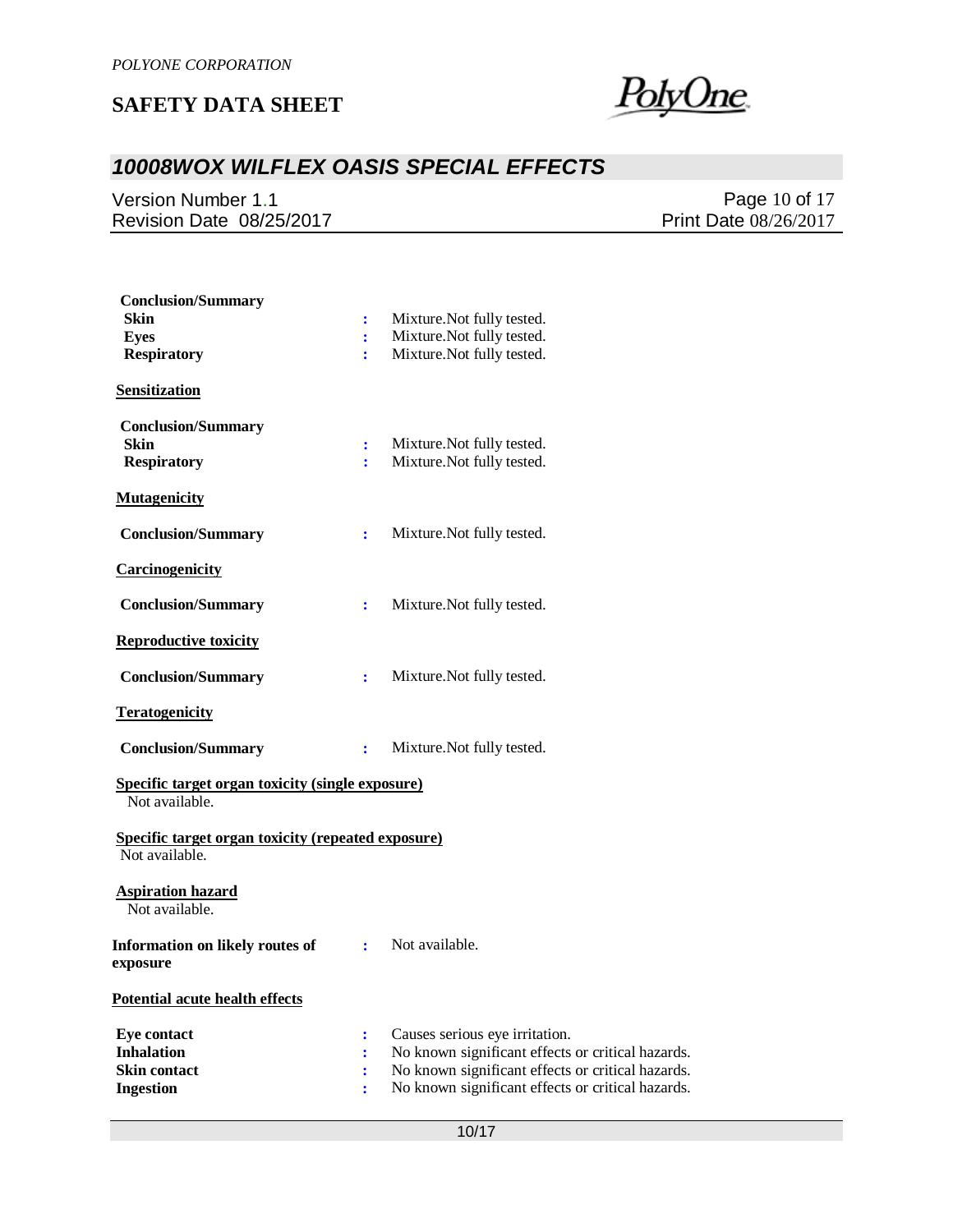<u>PolyOne</u>

## *10008WOX WILFLEX OASIS SPECIAL EFFECTS*

Version Number 1.1 Revision Date 08/25/2017

Page 10 of 17 Print Date 08/26/2017

| <b>Conclusion/Summary</b><br><b>Skin</b><br><b>Eyes</b><br><b>Respiratory</b>      | ÷<br>÷<br>÷    | Mixture. Not fully tested.<br>Mixture. Not fully tested.<br>Mixture. Not fully tested.                                                                                                        |
|------------------------------------------------------------------------------------|----------------|-----------------------------------------------------------------------------------------------------------------------------------------------------------------------------------------------|
| Sensitization<br><b>Conclusion/Summary</b><br>Skin<br><b>Respiratory</b>           | ÷<br>÷         | Mixture. Not fully tested.<br>Mixture. Not fully tested.                                                                                                                                      |
| <b>Mutagenicity</b>                                                                |                |                                                                                                                                                                                               |
| <b>Conclusion/Summary</b>                                                          | ÷              | Mixture. Not fully tested.                                                                                                                                                                    |
| <b>Carcinogenicity</b>                                                             |                |                                                                                                                                                                                               |
| <b>Conclusion/Summary</b>                                                          | ÷              | Mixture. Not fully tested.                                                                                                                                                                    |
| <b>Reproductive toxicity</b>                                                       |                |                                                                                                                                                                                               |
| <b>Conclusion/Summary</b>                                                          | $\ddot{\cdot}$ | Mixture. Not fully tested.                                                                                                                                                                    |
| <b>Teratogenicity</b>                                                              |                |                                                                                                                                                                                               |
| <b>Conclusion/Summary</b>                                                          | ÷              | Mixture. Not fully tested.                                                                                                                                                                    |
| <b>Specific target organ toxicity (single exposure)</b><br>Not available.          |                |                                                                                                                                                                                               |
| <b>Specific target organ toxicity (repeated exposure)</b><br>Not available.        |                |                                                                                                                                                                                               |
| <b>Aspiration hazard</b><br>Not available.                                         |                |                                                                                                                                                                                               |
| Information on likely routes of<br>exposure                                        | $\mathbf{L}$   | Not available.                                                                                                                                                                                |
| <b>Potential acute health effects</b>                                              |                |                                                                                                                                                                                               |
| <b>Eye contact</b><br><b>Inhalation</b><br><b>Skin contact</b><br><b>Ingestion</b> | :<br>÷         | Causes serious eye irritation.<br>No known significant effects or critical hazards.<br>No known significant effects or critical hazards.<br>No known significant effects or critical hazards. |
|                                                                                    |                |                                                                                                                                                                                               |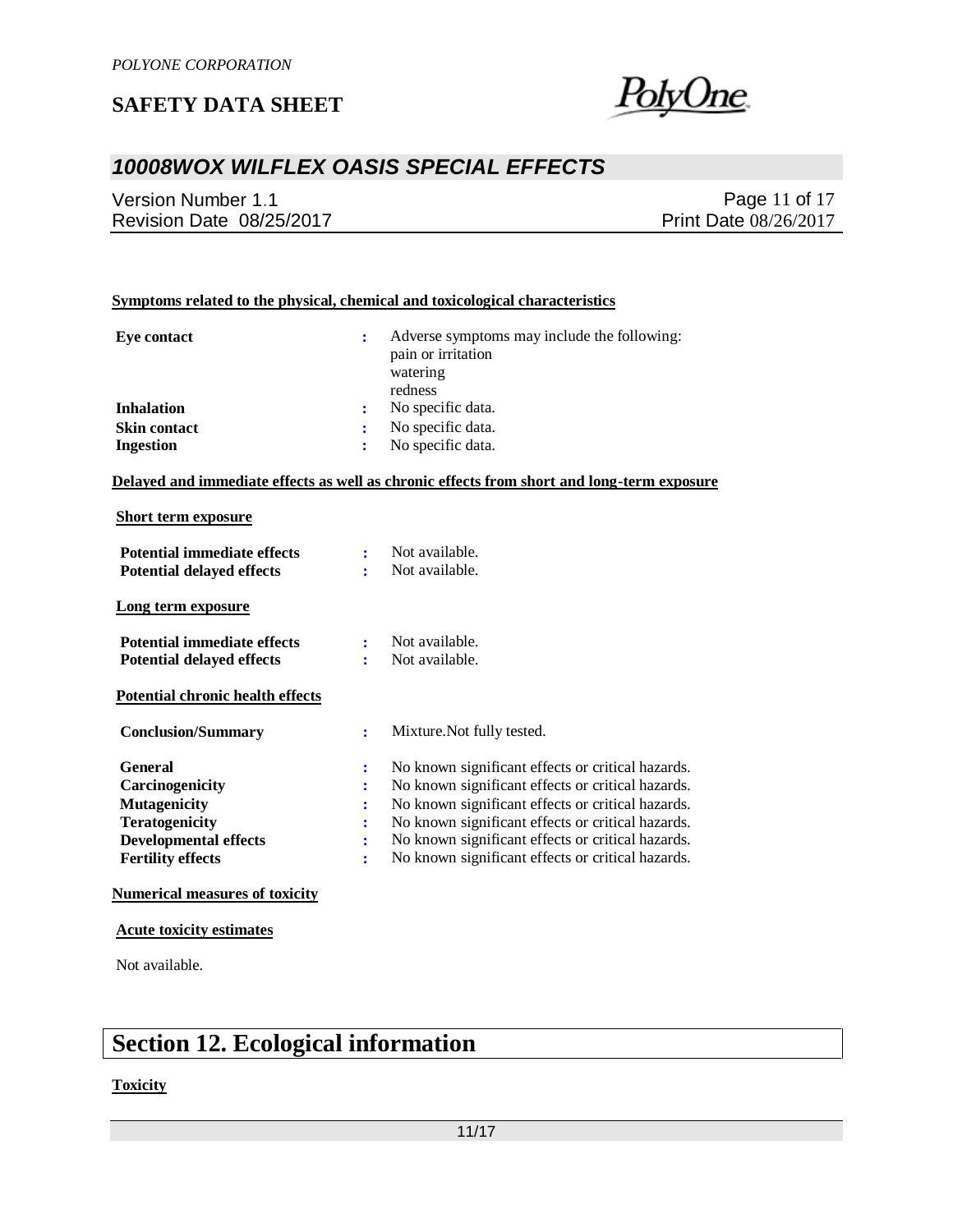PolyUne

## *10008WOX WILFLEX OASIS SPECIAL EFFECTS*

Version Number 1.1 Revision Date 08/25/2017

Page 11 of 17 Print Date 08/26/2017

#### **Symptoms related to the physical, chemical and toxicological characteristics**

| Eye contact         | Adverse symptoms may include the following:<br>pain or irritation<br>watering<br>redness |
|---------------------|------------------------------------------------------------------------------------------|
| <b>Inhalation</b>   | No specific data.                                                                        |
| <b>Skin contact</b> | No specific data.                                                                        |
| <b>Ingestion</b>    | No specific data.                                                                        |

**Delayed and immediate effects as well as chronic effects from short and long-term exposure**

#### **Short term exposure**

| <b>Potential immediate effects</b><br><b>Potential delayed effects</b> |                | Not available.<br>Not available.                  |
|------------------------------------------------------------------------|----------------|---------------------------------------------------|
| Long term exposure                                                     |                |                                                   |
| <b>Potential immediate effects</b><br><b>Potential delayed effects</b> |                | Not available.<br>Not available.                  |
| <b>Potential chronic health effects</b>                                |                |                                                   |
| <b>Conclusion/Summary</b>                                              | $\ddot{\cdot}$ | Mixture. Not fully tested.                        |
| <b>General</b>                                                         | ÷              | No known significant effects or critical hazards. |
| Carcinogenicity                                                        | ፡              | No known significant effects or critical hazards. |
| <b>Mutagenicity</b>                                                    | ÷              | No known significant effects or critical hazards. |
| <b>Teratogenicity</b>                                                  |                | No known significant effects or critical hazards. |
|                                                                        |                |                                                   |
| <b>Developmental effects</b>                                           |                | No known significant effects or critical hazards. |

#### **Numerical measures of toxicity**

#### **Acute toxicity estimates**

Not available.

# **Section 12. Ecological information**

#### **Toxicity**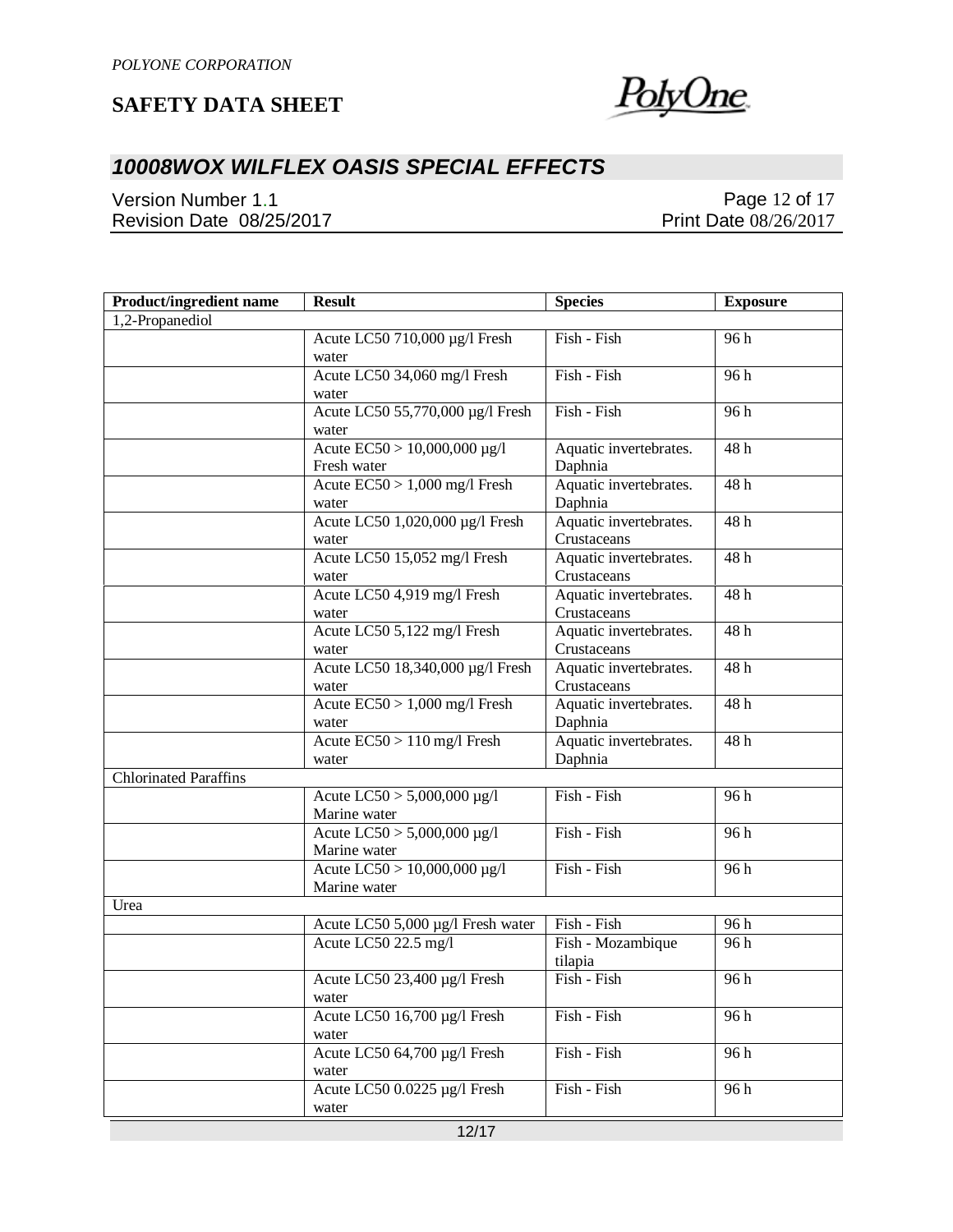

## *10008WOX WILFLEX OASIS SPECIAL EFFECTS*

Version Number 1.1 Revision Date 08/25/2017

Page 12 of 17 Print Date 08/26/2017

| <b>Product/ingredient name</b> | <b>Result</b>                                            | <b>Species</b>                        | <b>Exposure</b>   |
|--------------------------------|----------------------------------------------------------|---------------------------------------|-------------------|
| 1,2-Propanediol                |                                                          |                                       |                   |
|                                | Acute LC50 710,000 µg/l Fresh<br>water                   | Fish - Fish                           | 96h               |
|                                | Acute LC50 34,060 mg/l Fresh<br>water                    | Fish - Fish                           | 96h               |
|                                | Acute LC50 55,770,000 µg/l Fresh<br>water                | Fish - Fish                           | 96 h              |
|                                | Acute $EC50 > 10,000,000 \mu g/l$<br>Fresh water         | Aquatic invertebrates.<br>Daphnia     | 48 h              |
|                                | Acute $EC50 > 1,000$ mg/l Fresh<br>water                 | Aquatic invertebrates.<br>Daphnia     | 48h               |
|                                | Acute LC50 1,020,000 µg/l Fresh<br>water                 | Aquatic invertebrates.<br>Crustaceans | 48h               |
|                                | Acute LC50 15,052 mg/l Fresh<br>water                    | Aquatic invertebrates.<br>Crustaceans | 48h               |
|                                | Acute LC50 4,919 mg/l Fresh<br>water                     | Aquatic invertebrates.<br>Crustaceans | 48h               |
|                                | Acute LC50 5,122 mg/l Fresh<br>water                     | Aquatic invertebrates.<br>Crustaceans | 48h               |
|                                | Acute LC50 18,340,000 µg/l Fresh<br>water                | Aquatic invertebrates.<br>Crustaceans | 48h               |
|                                | Acute $EC50 > 1,000$ mg/l Fresh<br>water                 | Aquatic invertebrates.<br>Daphnia     | 48h               |
|                                | Acute $\overline{EC50}$ > 110 mg/l Fresh<br>water        | Aquatic invertebrates.<br>Daphnia     | 48h               |
| <b>Chlorinated Paraffins</b>   |                                                          |                                       |                   |
|                                | Acute $LC50 > 5,000,000 \mu g/l$<br>Marine water         | Fish - Fish                           | 96 h              |
|                                | Acute $\overline{LC50}$ > 5,000,000 µg/l<br>Marine water | Fish - Fish                           | 96 h              |
|                                | Acute LC50 > 10,000,000 µg/l<br>Marine water             | Fish - Fish                           | 96 h              |
| Urea                           |                                                          |                                       |                   |
|                                | Acute LC50 5,000 µg/l Fresh water                        | Fish - Fish                           | $\overline{96}$ h |
|                                | Acute LC50 22.5 mg/l                                     | Fish - Mozambique<br>tilapia          | 96h               |
|                                | Acute LC50 23,400 µg/l Fresh<br>water                    | Fish - Fish                           | 96 h              |
|                                | Acute LC50 16,700 µg/l Fresh<br>water                    | Fish - Fish                           | 96 h              |
|                                | Acute LC50 64,700 µg/l Fresh<br>water                    | Fish - Fish                           | 96 h              |
|                                | Acute LC50 0.0225 µg/l Fresh<br>water                    | Fish - Fish                           | 96h               |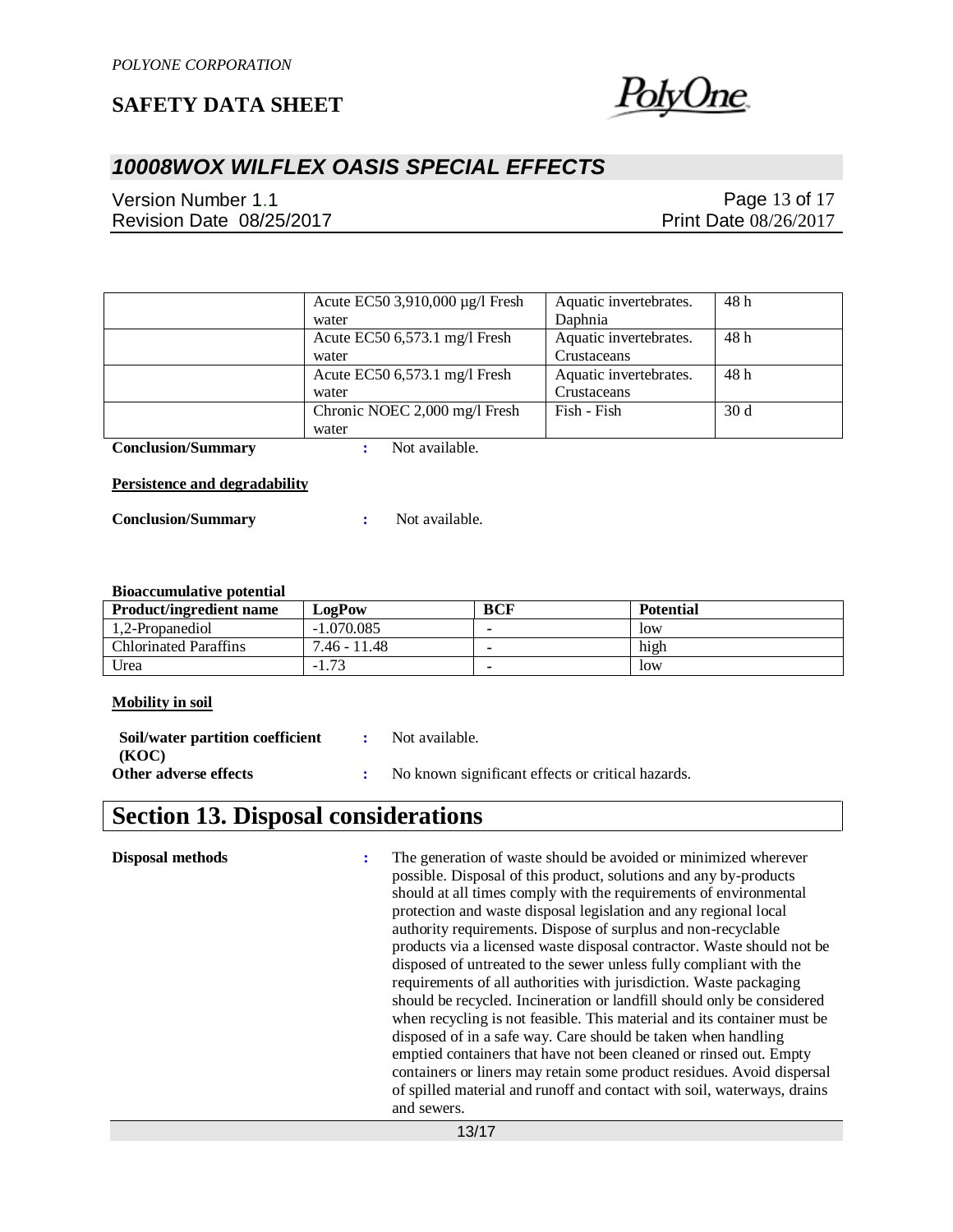

## *10008WOX WILFLEX OASIS SPECIAL EFFECTS*

Version Number 1.1 Revision Date 08/25/2017

Page 13 of 17 Print Date 08/26/2017

| Acute EC50 3,910,000 µg/l Fresh | Aquatic invertebrates. | 48 h            |
|---------------------------------|------------------------|-----------------|
| water                           | Daphnia                |                 |
| Acute EC50 $6,573.1$ mg/l Fresh | Aquatic invertebrates. | 48 h            |
| water                           | Crustaceans            |                 |
| Acute EC50 6,573.1 mg/l Fresh   | Aquatic invertebrates. | 48 h            |
| water                           | Crustaceans            |                 |
| Chronic NOEC 2,000 mg/l Fresh   | Fish - Fish            | 30 <sub>d</sub> |
| water                           |                        |                 |

**Conclusion/Summary :** Not available.

#### **Persistence and degradability**

**Conclusion/Summary :** Not available.

#### **Bioaccumulative potential**

| <b>Product/ingredient name</b> | LogPow                   | <b>BCF</b> | <b>Potential</b> |
|--------------------------------|--------------------------|------------|------------------|
| 1.2-Propanediol                | $-1.070.085$             |            | low              |
| <b>Chlorinated Paraffins</b>   | 7.46 - 11.48             |            | high             |
| Urea                           | $\mathcal{L}$<br>$-1.73$ |            | low              |

#### **Mobility in soil**

| Soil/water partition coefficient | Not available.                                    |
|----------------------------------|---------------------------------------------------|
| (KOC)                            |                                                   |
| Other adverse effects            | No known significant effects or critical hazards. |

## **Section 13. Disposal considerations**

**Disposal methods :** The generation of waste should be avoided or minimized wherever possible. Disposal of this product, solutions and any by-products should at all times comply with the requirements of environmental protection and waste disposal legislation and any regional local authority requirements. Dispose of surplus and non-recyclable products via a licensed waste disposal contractor. Waste should not be disposed of untreated to the sewer unless fully compliant with the requirements of all authorities with jurisdiction. Waste packaging should be recycled. Incineration or landfill should only be considered when recycling is not feasible. This material and its container must be disposed of in a safe way. Care should be taken when handling emptied containers that have not been cleaned or rinsed out. Empty containers or liners may retain some product residues. Avoid dispersal of spilled material and runoff and contact with soil, waterways, drains and sewers.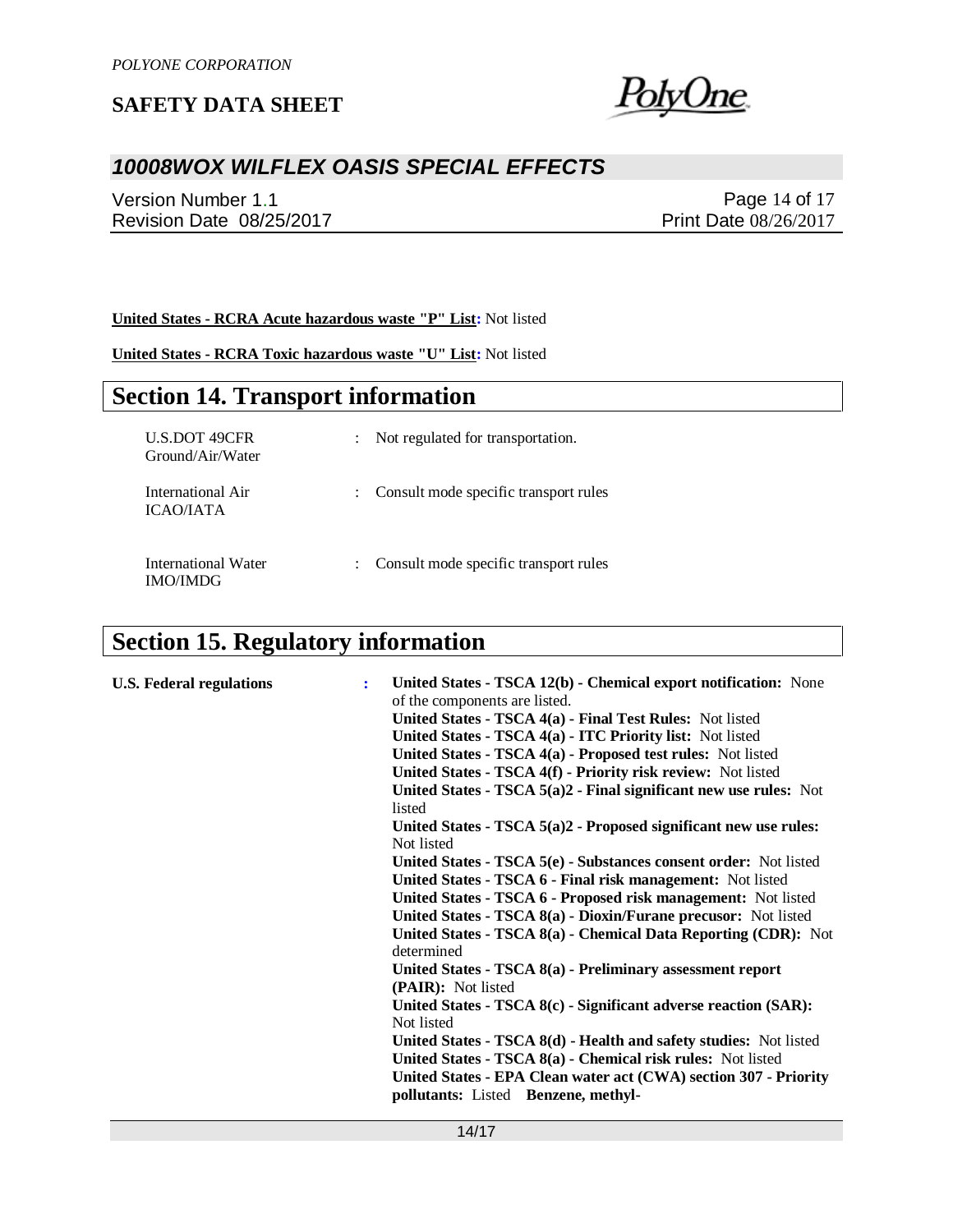

## *10008WOX WILFLEX OASIS SPECIAL EFFECTS*

Version Number 1.1 Revision Date 08/25/2017

Page 14 of 17 Print Date 08/26/2017

**United States - RCRA Acute hazardous waste "P" List:** Not listed

**United States - RCRA Toxic hazardous waste "U" List:** Not listed

## **Section 14. Transport information**

| <b>U.S.DOT 49CFR</b><br>Ground/Air/Water | $\ddot{\phantom{0}}$      | Not regulated for transportation.     |
|------------------------------------------|---------------------------|---------------------------------------|
| International Air<br><b>ICAO/JATA</b>    | ÷                         | Consult mode specific transport rules |
| International Water<br>IMO/IMDG          | $\mathbb{R}^{\mathbb{Z}}$ | Consult mode specific transport rules |

# **Section 15. Regulatory information**

| <b>U.S. Federal regulations</b> | ÷ | United States - TSCA 12(b) - Chemical export notification: None                  |
|---------------------------------|---|----------------------------------------------------------------------------------|
|                                 |   | of the components are listed.                                                    |
|                                 |   | United States - TSCA 4(a) - Final Test Rules: Not listed                         |
|                                 |   | United States - TSCA 4(a) - ITC Priority list: Not listed                        |
|                                 |   | United States - TSCA 4(a) - Proposed test rules: Not listed                      |
|                                 |   | United States - TSCA 4(f) - Priority risk review: Not listed                     |
|                                 |   | United States - TSCA $5(a)2$ - Final significant new use rules: Not<br>listed    |
|                                 |   | United States - TSCA $5(a)2$ - Proposed significant new use rules:<br>Not listed |
|                                 |   | United States - TSCA 5(e) - Substances consent order: Not listed                 |
|                                 |   | United States - TSCA 6 - Final risk management: Not listed                       |
|                                 |   | United States - TSCA 6 - Proposed risk management: Not listed                    |
|                                 |   | United States - TSCA 8(a) - Dioxin/Furane precusor: Not listed                   |
|                                 |   | United States - TSCA 8(a) - Chemical Data Reporting (CDR): Not<br>determined     |
|                                 |   |                                                                                  |
|                                 |   | United States - TSCA 8(a) - Preliminary assessment report<br>(PAIR): Not listed  |
|                                 |   | United States - TSCA 8(c) - Significant adverse reaction (SAR):                  |
|                                 |   | Not listed                                                                       |
|                                 |   | United States - TSCA 8(d) - Health and safety studies: Not listed                |
|                                 |   | United States - TSCA 8(a) - Chemical risk rules: Not listed                      |
|                                 |   | United States - EPA Clean water act (CWA) section 307 - Priority                 |
|                                 |   | pollutants: Listed Benzene, methyl-                                              |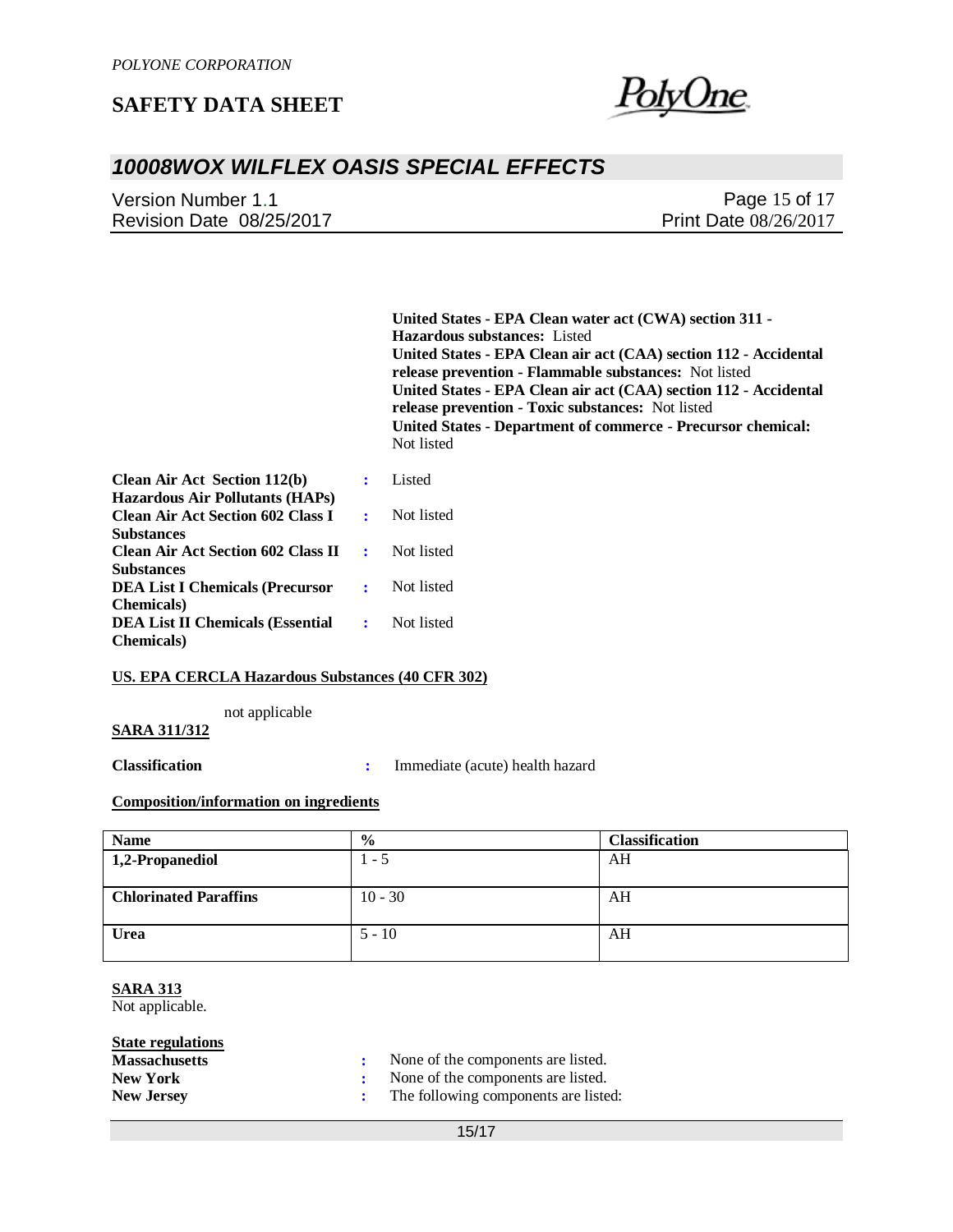

## *10008WOX WILFLEX OASIS SPECIAL EFFECTS*

| Version Number 1.1       | Page 15 of 17                |
|--------------------------|------------------------------|
| Revision Date 08/25/2017 | <b>Print Date 08/26/2017</b> |

**United States - EPA Clean water act (CWA) section 311 - Hazardous substances:** Listed **United States - EPA Clean air act (CAA) section 112 - Accidental release prevention - Flammable substances:** Not listed **United States - EPA Clean air act (CAA) section 112 - Accidental release prevention - Toxic substances:** Not listed **United States - Department of commerce - Precursor chemical:**  Not listed

| <b>Clean Air Act Section 112(b)</b><br><b>Hazardous Air Pollutants (HAPs)</b>     | ÷           | Listed     |
|-----------------------------------------------------------------------------------|-------------|------------|
| <b>Clean Air Act Section 602 Class I</b>                                          |             | Not listed |
| <b>Substances</b><br><b>Clean Air Act Section 602 Class II</b>                    | $\bullet$ . | Not listed |
| <b>Substances</b><br><b>DEA List I Chemicals (Precursor</b><br><b>Chemicals</b> ) |             | Not listed |
| <b>DEA List II Chemicals (Essential</b><br><b>Chemicals</b> )                     |             | Not listed |

#### **US. EPA CERCLA Hazardous Substances (40 CFR 302)**

not applicable

#### **SARA 311/312**

**Classification :** Immediate (acute) health hazard

#### **Composition/information on ingredients**

| <b>Name</b>                  | $\frac{6}{9}$ | <b>Classification</b> |
|------------------------------|---------------|-----------------------|
| 1,2-Propanediol              | $1 - 5$       | AH                    |
|                              |               |                       |
| <b>Chlorinated Paraffins</b> | $10 - 30$     | AH                    |
| Urea                         | $5 - 10$      | AH                    |

### **SARA 313**

Not applicable.

### **State regulations**

| <b>Massachusetts</b> | None of the components are listed.   |
|----------------------|--------------------------------------|
| <b>New York</b>      | None of the components are listed.   |
| <b>New Jersey</b>    | The following components are listed: |

15/17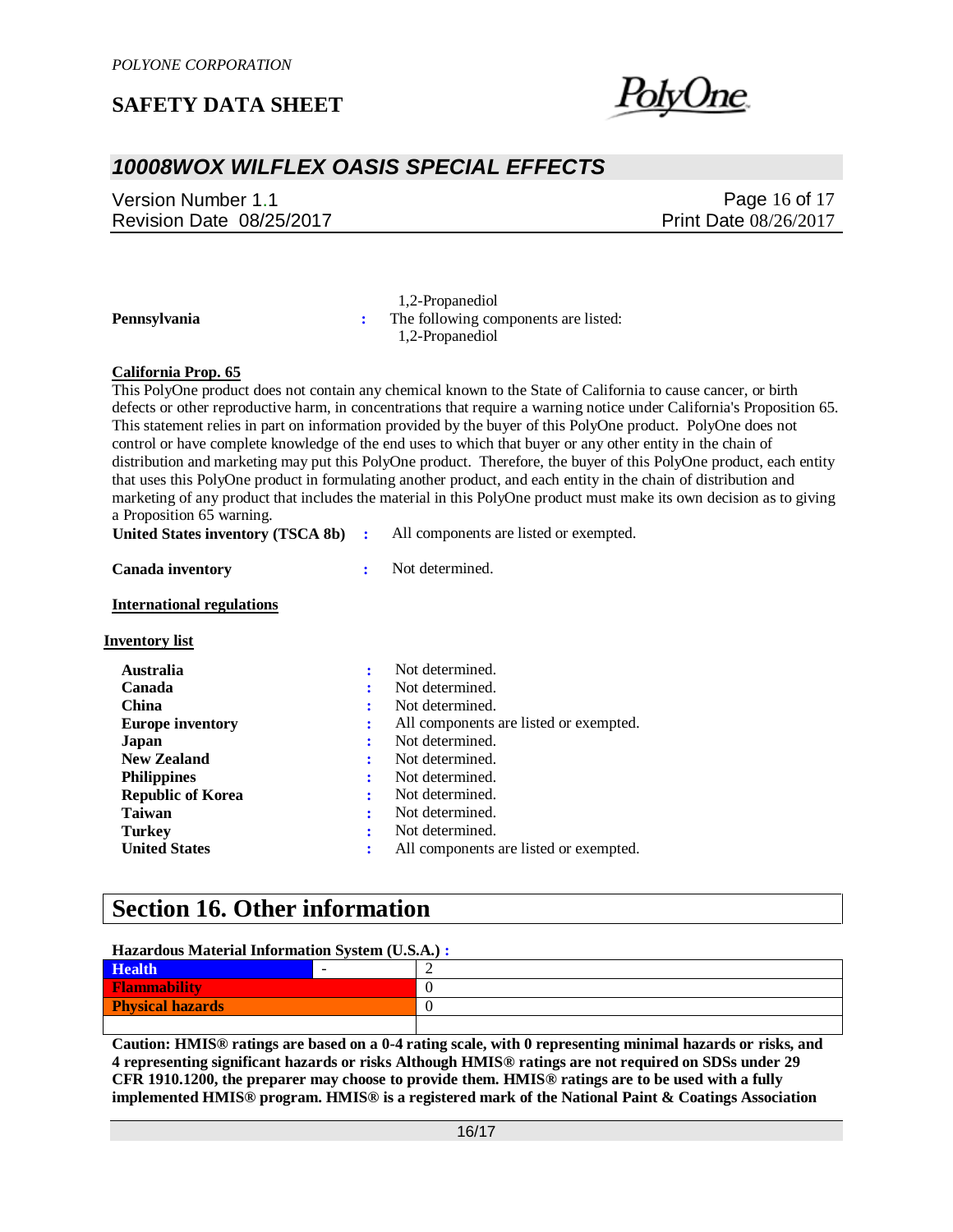

## *10008WOX WILFLEX OASIS SPECIAL EFFECTS*

Version Number 1.1 Revision Date 08/25/2017

Page 16 of 17 Print Date 08/26/2017

 1,2-Propanediol **Pennsylvania :** The following components are listed: 1,2-Propanediol

#### **California Prop. 65**

This PolyOne product does not contain any chemical known to the State of California to cause cancer, or birth defects or other reproductive harm, in concentrations that require a warning notice under California's Proposition 65. This statement relies in part on information provided by the buyer of this PolyOne product. PolyOne does not control or have complete knowledge of the end uses to which that buyer or any other entity in the chain of distribution and marketing may put this PolyOne product. Therefore, the buyer of this PolyOne product, each entity that uses this PolyOne product in formulating another product, and each entity in the chain of distribution and marketing of any product that includes the material in this PolyOne product must make its own decision as to giving a Proposition 65 warning.

| United States inventory (TSCA 8b) |  | All components are listed or exempted. |  |
|-----------------------------------|--|----------------------------------------|--|
|-----------------------------------|--|----------------------------------------|--|

| <b>Canada inventory</b>          |   | Not determined.                        |
|----------------------------------|---|----------------------------------------|
| <b>International regulations</b> |   |                                        |
| <b>Inventory list</b>            |   |                                        |
| <b>Australia</b>                 | ÷ | Not determined.                        |
| Canada                           | ÷ | Not determined.                        |
| China                            | ٠ | Not determined.                        |
| <b>Europe inventory</b>          | ÷ | All components are listed or exempted. |
| Japan                            | ÷ | Not determined.                        |
| <b>New Zealand</b>               | ÷ | Not determined.                        |
| <b>Philippines</b>               |   | Not determined.                        |
| <b>Republic of Korea</b>         | ÷ | Not determined.                        |
| <b>Taiwan</b>                    | ÷ | Not determined.                        |
| Turkey                           | ٠ | Not determined.                        |
| <b>United States</b>             |   | All components are listed or exempted. |

### **Section 16. Other information**

#### **Hazardous Material Information System (U.S.A.) :**

| Health <sup>1</sup>     |  |
|-------------------------|--|
| <b>Flammability</b>     |  |
| <b>Physical hazards</b> |  |
|                         |  |

**Caution: HMIS® ratings are based on a 0-4 rating scale, with 0 representing minimal hazards or risks, and 4 representing significant hazards or risks Although HMIS® ratings are not required on SDSs under 29 CFR 1910.1200, the preparer may choose to provide them. HMIS® ratings are to be used with a fully implemented HMIS® program. HMIS® is a registered mark of the National Paint & Coatings Association**